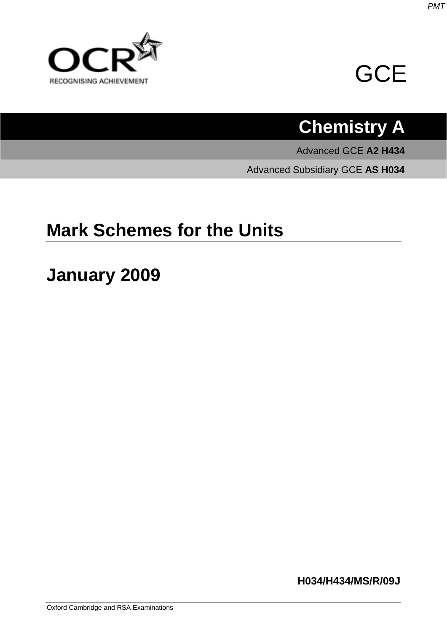



# **Chemistry A**

Advanced GCE **A2 H434**

Advanced Subsidiary GCE **AS H034**

## **Mark Schemes for the Units**

## **January 2009**

**H034/H434/MS/R/09J**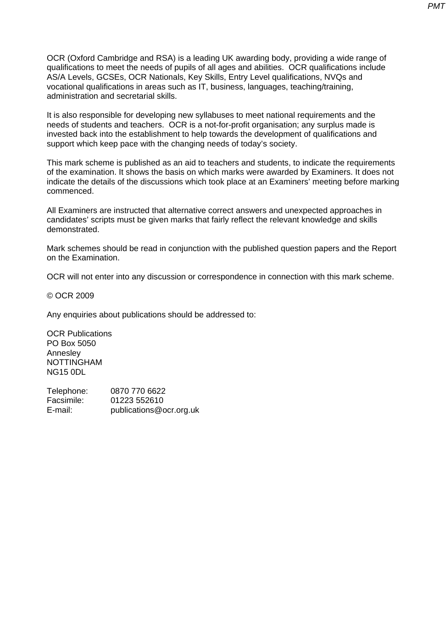OCR (Oxford Cambridge and RSA) is a leading UK awarding body, providing a wide range of qualifications to meet the needs of pupils of all ages and abilities. OCR qualifications include AS/A Levels, GCSEs, OCR Nationals, Key Skills, Entry Level qualifications, NVQs and vocational qualifications in areas such as IT, business, languages, teaching/training, administration and secretarial skills.

It is also responsible for developing new syllabuses to meet national requirements and the needs of students and teachers. OCR is a not-for-profit organisation; any surplus made is invested back into the establishment to help towards the development of qualifications and support which keep pace with the changing needs of today's society.

This mark scheme is published as an aid to teachers and students, to indicate the requirements of the examination. It shows the basis on which marks were awarded by Examiners. It does not indicate the details of the discussions which took place at an Examiners' meeting before marking commenced.

All Examiners are instructed that alternative correct answers and unexpected approaches in candidates' scripts must be given marks that fairly reflect the relevant knowledge and skills demonstrated.

Mark schemes should be read in conjunction with the published question papers and the Report on the Examination.

OCR will not enter into any discussion or correspondence in connection with this mark scheme.

© OCR 2009

Any enquiries about publications should be addressed to:

OCR Publications PO Box 5050 Annesley NOTTINGHAM NG15 0DL

Telephone: 0870 770 6622 Facsimile: 01223 552610 E-mail: publications@ocr.org.uk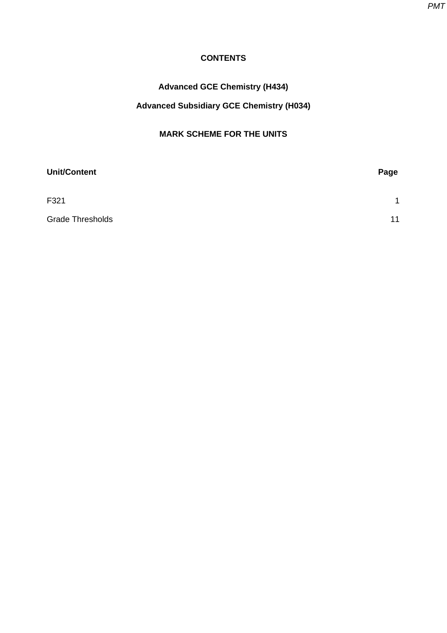*PMT*

#### **CONTENTS**

## **Advanced GCE Chemistry (H434)**

## **Advanced Subsidiary GCE Chemistry (H034)**

#### **MARK SCHEME FOR THE UNITS**

| <b>Unit/Content</b>     | Page |
|-------------------------|------|
| F321                    | 1    |
| <b>Grade Thresholds</b> | 11   |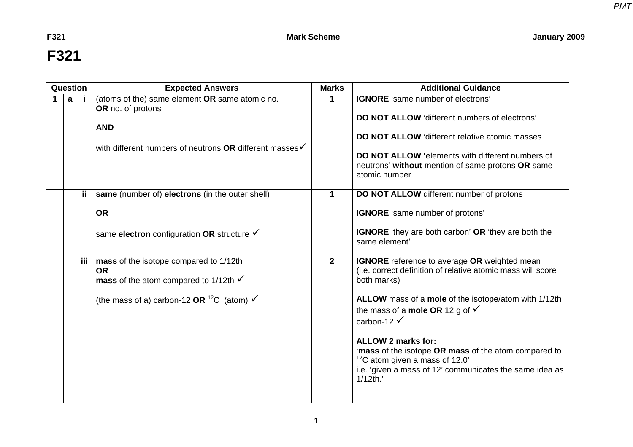F321 **Mark Scheme** Mark Scheme January 2009

# **F321**

<span id="page-3-0"></span>

| Question |     | <b>Expected Answers</b>                                                                                                                                              | <b>Marks</b> | <b>Additional Guidance</b>                                                                                                                                                                                                                                                                                                                                                                                                                                                           |
|----------|-----|----------------------------------------------------------------------------------------------------------------------------------------------------------------------|--------------|--------------------------------------------------------------------------------------------------------------------------------------------------------------------------------------------------------------------------------------------------------------------------------------------------------------------------------------------------------------------------------------------------------------------------------------------------------------------------------------|
| a        |     | (atoms of the) same element OR same atomic no.<br>OR no. of protons<br><b>AND</b><br>with different numbers of neutrons OR different masses√                         | 1            | <b>IGNORE</b> 'same number of electrons'<br>DO NOT ALLOW 'different numbers of electrons'<br><b>DO NOT ALLOW</b> 'different relative atomic masses<br>DO NOT ALLOW 'elements with different numbers of<br>neutrons' without mention of same protons OR same<br>atomic number                                                                                                                                                                                                         |
|          | ij. | same (number of) electrons (in the outer shell)<br><b>OR</b><br>same electron configuration OR structure √                                                           | $\mathbf 1$  | DO NOT ALLOW different number of protons<br><b>IGNORE</b> 'same number of protons'<br><b>IGNORE</b> 'they are both carbon' OR 'they are both the<br>same element'                                                                                                                                                                                                                                                                                                                    |
|          | iii | mass of the isotope compared to 1/12th<br><b>OR</b><br>mass of the atom compared to 1/12th $\checkmark$<br>(the mass of a) carbon-12 OR $^{12}C$ (atom) $\checkmark$ | $\mathbf{2}$ | <b>IGNORE</b> reference to average OR weighted mean<br>(i.e. correct definition of relative atomic mass will score<br>both marks)<br>ALLOW mass of a mole of the isotope/atom with 1/12th<br>the mass of a <b>mole OR</b> 12 g of $\checkmark$<br>carbon-12 $\checkmark$<br><b>ALLOW 2 marks for:</b><br>'mass of the isotope OR mass of the atom compared to<br>$12^{\circ}$ C atom given a mass of 12.0'<br>i.e. 'given a mass of 12' communicates the same idea as<br>$1/12$ th.' |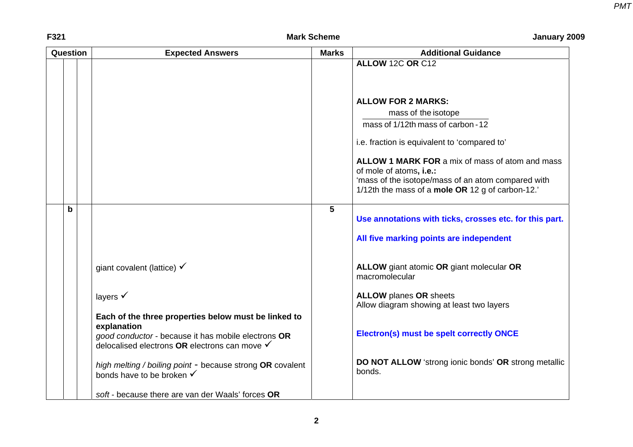| F321 | <b>Mark Scheme</b> | January 2009 |
|------|--------------------|--------------|
|      |                    |              |

| Question |   | <b>Expected Answers</b>                                                                              | <b>Marks</b>    | <b>Additional Guidance</b>                                                    |
|----------|---|------------------------------------------------------------------------------------------------------|-----------------|-------------------------------------------------------------------------------|
|          |   |                                                                                                      |                 | ALLOW 12C OR C12                                                              |
|          |   |                                                                                                      |                 |                                                                               |
|          |   |                                                                                                      |                 |                                                                               |
|          |   |                                                                                                      |                 | <b>ALLOW FOR 2 MARKS:</b>                                                     |
|          |   |                                                                                                      |                 | mass of the isotope                                                           |
|          |   |                                                                                                      |                 | mass of 1/12th mass of carbon - 12                                            |
|          |   |                                                                                                      |                 | i.e. fraction is equivalent to 'compared to'                                  |
|          |   |                                                                                                      |                 | ALLOW 1 MARK FOR a mix of mass of atom and mass                               |
|          |   |                                                                                                      |                 | of mole of atoms, i.e.:<br>'mass of the isotope/mass of an atom compared with |
|          |   |                                                                                                      |                 | 1/12th the mass of a mole OR 12 g of carbon-12.'                              |
|          |   |                                                                                                      |                 |                                                                               |
|          | b |                                                                                                      | $5\phantom{.0}$ | Use annotations with ticks, crosses etc. for this part.                       |
|          |   |                                                                                                      |                 | All five marking points are independent                                       |
|          |   | giant covalent (lattice) $\checkmark$                                                                |                 | ALLOW giant atomic OR giant molecular OR<br>macromolecular                    |
|          |   | layers $\checkmark$                                                                                  |                 | <b>ALLOW</b> planes OR sheets                                                 |
|          |   |                                                                                                      |                 | Allow diagram showing at least two layers                                     |
|          |   | Each of the three properties below must be linked to                                                 |                 |                                                                               |
|          |   | explanation                                                                                          |                 | Electron(s) must be spelt correctly ONCE                                      |
|          |   | good conductor - because it has mobile electrons OR<br>delocalised electrons OR electrons can move V |                 |                                                                               |
|          |   |                                                                                                      |                 |                                                                               |
|          |   | high melting / boiling point - because strong OR covalent                                            |                 | DO NOT ALLOW 'strong ionic bonds' OR strong metallic<br>bonds.                |
|          |   | bonds have to be broken √                                                                            |                 |                                                                               |
|          |   | soft - because there are van der Waals' forces OR                                                    |                 |                                                                               |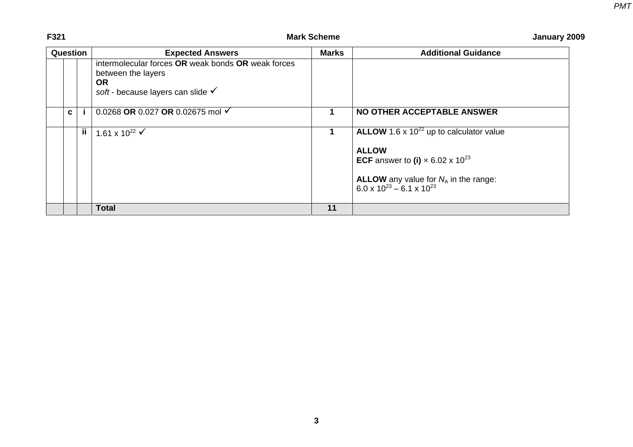#### F321 **Mark Scheme** Mark Scheme January 2009

| <b>Question</b> |   |    | <b>Expected Answers</b>                                                                                                                                                        | <b>Marks</b> | <b>Additional Guidance</b>                                                                                                                                                                                       |
|-----------------|---|----|--------------------------------------------------------------------------------------------------------------------------------------------------------------------------------|--------------|------------------------------------------------------------------------------------------------------------------------------------------------------------------------------------------------------------------|
|                 | C |    | intermolecular forces OR weak bonds OR weak forces<br>between the layers<br>OR.<br>soft - because layers can slide $\checkmark$<br>0.0268 OR 0.027 OR 0.02675 mol $\checkmark$ |              | NO OTHER ACCEPTABLE ANSWER                                                                                                                                                                                       |
|                 |   | ji | 1.61 x 10 <sup>22</sup> $\checkmark$                                                                                                                                           |              | ALLOW 1.6 x $10^{22}$ up to calculator value<br><b>ALLOW</b><br><b>ECF</b> answer to (i) $\times$ 6.02 x 10 <sup>23</sup><br><b>ALLOW</b> any value for $N_A$ in the range:<br>6.0 x $10^{23} - 6.1$ x $10^{23}$ |
|                 |   |    | <b>Total</b>                                                                                                                                                                   | 11           |                                                                                                                                                                                                                  |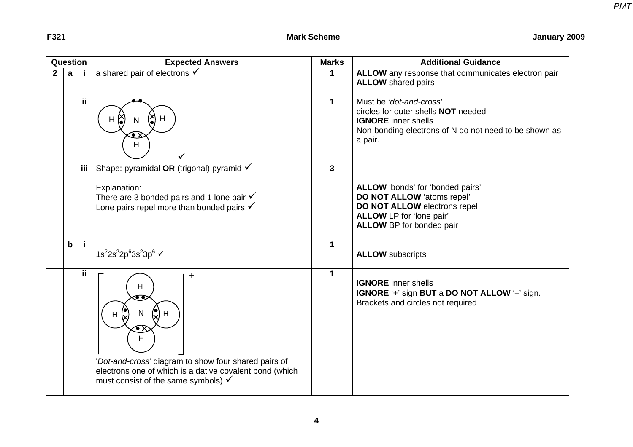| Question       |             |     | <b>Expected Answers</b>                                                                                                                                                                              | <b>Marks</b> | <b>Additional Guidance</b>                                                                                                                                              |
|----------------|-------------|-----|------------------------------------------------------------------------------------------------------------------------------------------------------------------------------------------------------|--------------|-------------------------------------------------------------------------------------------------------------------------------------------------------------------------|
| $\overline{2}$ | a           |     | a shared pair of electrons $\checkmark$                                                                                                                                                              | 1            | ALLOW any response that communicates electron pair<br><b>ALLOW</b> shared pairs                                                                                         |
|                |             | ij. | $\infty$<br>(X) H<br>H<br>N<br>H                                                                                                                                                                     | $\mathbf 1$  | Must be 'dot-and-cross'<br>circles for outer shells <b>NOT</b> needed<br><b>IGNORE</b> inner shells<br>Non-bonding electrons of N do not need to be shown as<br>a pair. |
|                |             | iii | Shape: pyramidal OR (trigonal) pyramid √<br>Explanation:<br>There are 3 bonded pairs and 1 lone pair $\checkmark$<br>Lone pairs repel more than bonded pairs $\checkmark$                            | $\mathbf{3}$ | ALLOW 'bonds' for 'bonded pairs'<br>DO NOT ALLOW 'atoms repel'<br>DO NOT ALLOW electrons repel<br>ALLOW LP for 'lone pair'<br><b>ALLOW BP for bonded pair</b>           |
|                | $\mathbf b$ | Ť.  | 1s <sup>2</sup> 2s <sup>2</sup> 2p <sup>6</sup> 3s <sup>2</sup> 3p <sup>6</sup> √                                                                                                                    | $\mathbf 1$  | <b>ALLOW</b> subscripts                                                                                                                                                 |
|                |             | ii. | H<br>Н<br>H<br>$\bullet$ x<br>H<br>'Dot-and-cross' diagram to show four shared pairs of<br>electrons one of which is a dative covalent bond (which<br>must consist of the same symbols) $\checkmark$ | $\mathbf 1$  | <b>IGNORE</b> inner shells<br>IGNORE '+' sign BUT a DO NOT ALLOW '-' sign.<br>Brackets and circles not required                                                         |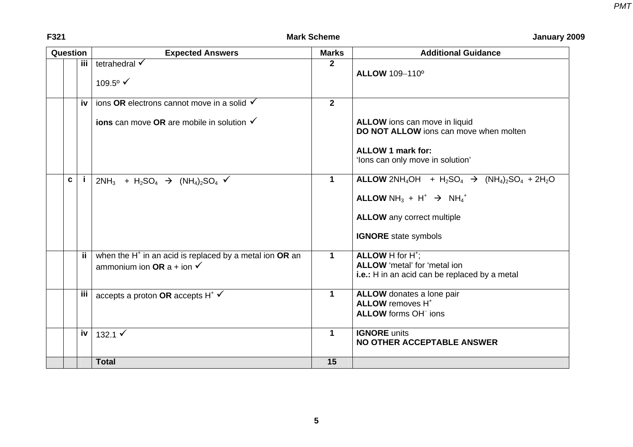| Question | <b>Expected Answers</b>                                                                                              | <b>Marks</b>   | <b>Additional Guidance</b>                                                                                                                                                                                                                                                                                          |
|----------|----------------------------------------------------------------------------------------------------------------------|----------------|---------------------------------------------------------------------------------------------------------------------------------------------------------------------------------------------------------------------------------------------------------------------------------------------------------------------|
| iii      | tetrahedral √<br>109.5 $\degree$ $\checkmark$                                                                        | $\overline{2}$ | <b>ALLOW 109-110°</b>                                                                                                                                                                                                                                                                                               |
| iv       | ions OR electrons cannot move in a solid $\checkmark$<br><b>ions</b> can move OR are mobile in solution $\checkmark$ | $\overline{2}$ | ALLOW ions can move in liquid<br>DO NOT ALLOW ions can move when molten<br><b>ALLOW 1 mark for:</b><br>'lons can only move in solution'                                                                                                                                                                             |
| C        | $2NH_3$ + H <sub>2</sub> SO <sub>4</sub> $\rightarrow$ (NH <sub>4</sub> ) <sub>2</sub> SO <sub>4</sub> $\checkmark$  | $\mathbf 1$    | <b>ALLOW</b> 2NH <sub>4</sub> OH + H <sub>2</sub> SO <sub>4</sub> $\rightarrow$ (NH <sub>4</sub> ) <sub>2</sub> SO <sub>4</sub> + 2H <sub>2</sub> O<br><b>ALLOW</b> NH <sub>3</sub> + H <sup>+</sup> $\rightarrow$ NH <sub>4</sub> <sup>+</sup><br><b>ALLOW</b> any correct multiple<br><b>IGNORE</b> state symbols |
| ii.      | when the H <sup>+</sup> in an acid is replaced by a metal ion OR an<br>ammonium ion OR a + ion $\checkmark$          | $\mathbf{1}$   | ALLOW H for H <sup>+</sup> :<br>ALLOW 'metal' for 'metal ion<br>i.e.: H in an acid can be replaced by a metal                                                                                                                                                                                                       |
| iii      | accepts a proton OR accepts $H^*$ $\checkmark$                                                                       | $\mathbf 1$    | ALLOW donates a lone pair<br><b>ALLOW</b> removes H <sup>+</sup><br>ALLOW forms OH <sup>-</sup> ions                                                                                                                                                                                                                |
| iv       | 132.1 $\checkmark$                                                                                                   | $\mathbf 1$    | <b>IGNORE</b> units<br><b>NO OTHER ACCEPTABLE ANSWER</b>                                                                                                                                                                                                                                                            |
|          | <b>Total</b>                                                                                                         | 15             |                                                                                                                                                                                                                                                                                                                     |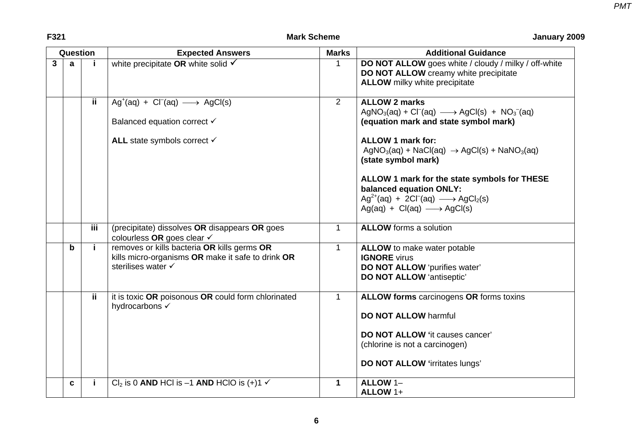|              | Question |            | <b>Expected Answers</b>                                                                                                | <b>Marks</b>   | <b>Additional Guidance</b>                                                                                                                                                                         |
|--------------|----------|------------|------------------------------------------------------------------------------------------------------------------------|----------------|----------------------------------------------------------------------------------------------------------------------------------------------------------------------------------------------------|
| $\mathbf{3}$ | a        |            | white precipitate OR white solid $\checkmark$                                                                          |                | DO NOT ALLOW goes white / cloudy / milky / off-white<br>DO NOT ALLOW creamy white precipitate<br><b>ALLOW</b> milky white precipitate                                                              |
|              |          | ij.        | $Ag^+(aq) + Cl^-(aq) \longrightarrow AgCl(s)$<br>Balanced equation correct √                                           | $\overline{2}$ | <b>ALLOW 2 marks</b><br>$AgNO3(aq) + Cl-(aq) \longrightarrow AgCl(s) + NO3-(aq)$<br>(equation mark and state symbol mark)                                                                          |
|              |          |            | ALL state symbols correct √                                                                                            |                | <b>ALLOW 1 mark for:</b><br>$AgNO3(aq) + NaCl(aq) \rightarrow AgCl(s) + NaNO3(aq)$<br>(state symbol mark)                                                                                          |
|              |          |            |                                                                                                                        |                | ALLOW 1 mark for the state symbols for THESE<br>balanced equation ONLY:<br>$Ag^{2+}(aq) + 2Cl^{-}(aq) \longrightarrow AgCl_{2}(s)$<br>$Ag(aq) + Cl(aq) \longrightarrow AgCl(s)$                    |
|              |          | <b>iii</b> | (precipitate) dissolves OR disappears OR goes<br>colourless OR goes clear √                                            | 1              | <b>ALLOW</b> forms a solution                                                                                                                                                                      |
|              | b        |            | removes or kills bacteria OR kills germs OR<br>kills micro-organisms OR make it safe to drink OR<br>sterilises water √ | 1              | ALLOW to make water potable<br><b>IGNORE</b> virus<br>DO NOT ALLOW 'purifies water'<br><b>DO NOT ALLOW 'antiseptic'</b>                                                                            |
|              |          | ii.        | it is toxic OR poisonous OR could form chlorinated<br>hydrocarbons √                                                   | 1              | <b>ALLOW forms carcinogens OR forms toxins</b><br><b>DO NOT ALLOW harmful</b><br><b>DO NOT ALLOW</b> 'it causes cancer'<br>(chlorine is not a carcinogen)<br><b>DO NOT ALLOW 'irritates lungs'</b> |
|              | C        | j.         | $Cl2$ is 0 AND HCl is -1 AND HClO is (+)1 $\checkmark$                                                                 | $\mathbf 1$    | ALLOW 1-<br>ALLOW 1+                                                                                                                                                                               |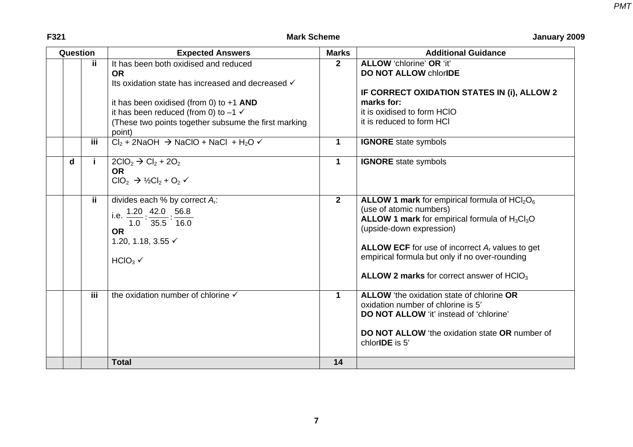| Question |                          | <b>Expected Answers</b>                                                                                                                                                                                                                                                   | <b>Marks</b>   | <b>Additional Guidance</b>                                                                                                                                                                                                                                                                                                     |
|----------|--------------------------|---------------------------------------------------------------------------------------------------------------------------------------------------------------------------------------------------------------------------------------------------------------------------|----------------|--------------------------------------------------------------------------------------------------------------------------------------------------------------------------------------------------------------------------------------------------------------------------------------------------------------------------------|
|          | ii.                      | It has been both oxidised and reduced<br><b>OR</b><br>Its oxidation state has increased and decreased √<br>it has been oxidised (from 0) to $+1$ AND<br>it has been reduced (from 0) to $-1 \checkmark$<br>(These two points together subsume the first marking<br>point) | $\overline{2}$ | <b>ALLOW</b> 'chlorine' OR 'it'<br><b>DO NOT ALLOW chlorIDE</b><br>IF CORRECT OXIDATION STATES IN (i), ALLOW 2<br>marks for:<br>it is oxidised to form HCIO<br>it is reduced to form HCI                                                                                                                                       |
|          | iii.                     | $Cl_2$ + 2NaOH $\rightarrow$ NaClO + NaCl + H <sub>2</sub> O $\checkmark$                                                                                                                                                                                                 | $\mathbf 1$    | <b>IGNORE</b> state symbols                                                                                                                                                                                                                                                                                                    |
| d        | j.                       | $2ClO2 \rightarrow Cl2 + 2O2$<br><b>OR</b><br>$ClO2 \rightarrow \frac{1}{2}Cl2 + O2$                                                                                                                                                                                      | $\mathbf{1}$   | <b>IGNORE</b> state symbols                                                                                                                                                                                                                                                                                                    |
|          | $\overline{\mathbf{ii}}$ | divides each % by correct $A_r$ :<br>i.e. $\frac{1.20}{1.20} \cdot \frac{42.0}{1.20} \cdot 56.8$<br>$1.0$ 35.5 16.0<br><b>OR</b><br>1.20, 1.18, 3.55 √<br>HCIO <sub>3</sub>                                                                                               | $2^{\circ}$    | ALLOW 1 mark for empirical formula of $HCl2O6$<br>(use of atomic numbers)<br><b>ALLOW 1 mark</b> for empirical formula of $H_3Cl_3O$<br>(upside-down expression)<br><b>ALLOW ECF</b> for use of incorrect $A_r$ values to get<br>empirical formula but only if no over-rounding<br>ALLOW 2 marks for correct answer of $HClO3$ |
|          | iii.                     | the oxidation number of chlorine V                                                                                                                                                                                                                                        | $\mathbf 1$    | ALLOW 'the oxidation state of chlorine OR<br>oxidation number of chlorine is 5'<br><b>DO NOT ALLOW</b> 'it' instead of 'chlorine'<br><b>DO NOT ALLOW</b> 'the oxidation state OR number of<br>chlor <b>IDE</b> is 5'                                                                                                           |
|          |                          | <b>Total</b>                                                                                                                                                                                                                                                              | 14             |                                                                                                                                                                                                                                                                                                                                |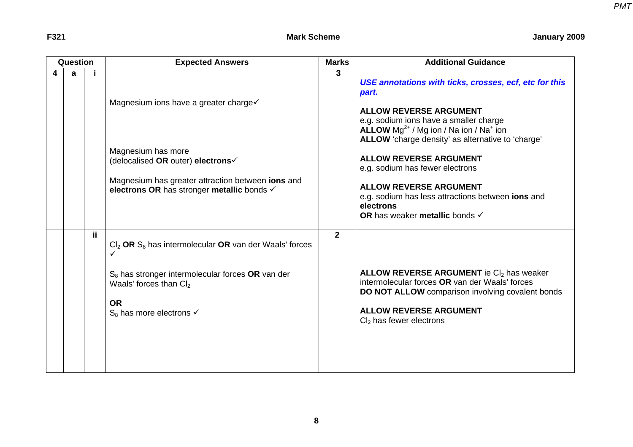| Question |   |     | <b>Expected Answers</b>                                                                                                                                                                                      | <b>Marks</b>   | <b>Additional Guidance</b>                                                                                                                                                                                                                                                                                                                                                                                                                                                 |
|----------|---|-----|--------------------------------------------------------------------------------------------------------------------------------------------------------------------------------------------------------------|----------------|----------------------------------------------------------------------------------------------------------------------------------------------------------------------------------------------------------------------------------------------------------------------------------------------------------------------------------------------------------------------------------------------------------------------------------------------------------------------------|
| 4        | a |     | Magnesium ions have a greater charge√<br>Magnesium has more<br>(delocalised OR outer) electrons√<br>Magnesium has greater attraction between ions and<br>electrons OR has stronger metallic bonds √          | 3              | USE annotations with ticks, crosses, ecf, etc for this<br>part.<br><b>ALLOW REVERSE ARGUMENT</b><br>e.g. sodium ions have a smaller charge<br><b>ALLOW</b> $Mg^{2+}$ / Mg ion / Na ion / Na <sup>+</sup> ion<br>ALLOW 'charge density' as alternative to 'charge'<br><b>ALLOW REVERSE ARGUMENT</b><br>e.g. sodium has fewer electrons<br><b>ALLOW REVERSE ARGUMENT</b><br>e.g. sodium has less attractions between ions and<br>electrons<br>OR has weaker metallic bonds √ |
|          |   | ii. | $Cl2$ OR $S8$ has intermolecular OR van der Waals' forces<br>$S_8$ has stronger intermolecular forces OR van der<br>Waals' forces than Cl <sub>2</sub><br><b>OR</b><br>$S_8$ has more electrons $\checkmark$ | $\overline{2}$ | <b>ALLOW REVERSE ARGUMENT</b> ie CI <sub>2</sub> has weaker<br>intermolecular forces OR van der Waals' forces<br>DO NOT ALLOW comparison involving covalent bonds<br><b>ALLOW REVERSE ARGUMENT</b><br>$Cl2$ has fewer electrons                                                                                                                                                                                                                                            |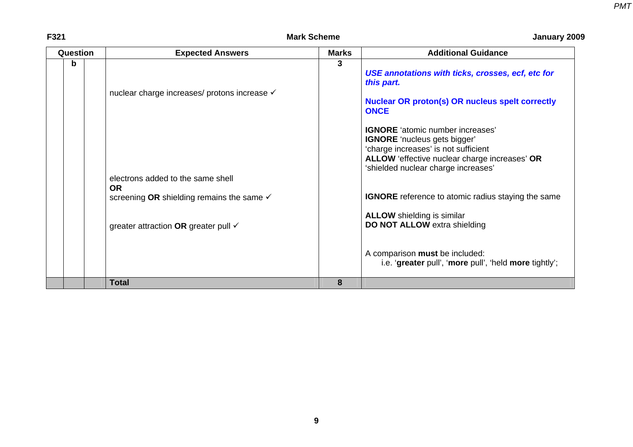#### F321 **Mark Scheme** Mark Scheme January 2009

| Question |  | <b>Expected Answers</b>                                           | <b>Marks</b> | <b>Additional Guidance</b>                                                                                                                                                                                     |  |  |  |
|----------|--|-------------------------------------------------------------------|--------------|----------------------------------------------------------------------------------------------------------------------------------------------------------------------------------------------------------------|--|--|--|
| b        |  | nuclear charge increases/ protons increase √                      |              | USE annotations with ticks, crosses, ecf, etc for<br>this part.<br><b>Nuclear OR proton(s) OR nucleus spelt correctly</b><br><b>ONCE</b>                                                                       |  |  |  |
|          |  | electrons added to the same shell                                 |              | <b>IGNORE</b> 'atomic number increases'<br><b>IGNORE</b> 'nucleus gets bigger'<br>'charge increases' is not sufficient<br>ALLOW 'effective nuclear charge increases' OR<br>'shielded nuclear charge increases' |  |  |  |
|          |  | <b>OR</b><br>screening OR shielding remains the same $\checkmark$ |              | <b>IGNORE</b> reference to atomic radius staying the same                                                                                                                                                      |  |  |  |
|          |  | greater attraction OR greater pull $\checkmark$                   |              | <b>ALLOW</b> shielding is similar<br>DO NOT ALLOW extra shielding                                                                                                                                              |  |  |  |
|          |  |                                                                   |              | A comparison must be included:<br>i.e. 'greater pull', 'more pull', 'held more tightly';                                                                                                                       |  |  |  |
|          |  | <b>Total</b>                                                      | 8            |                                                                                                                                                                                                                |  |  |  |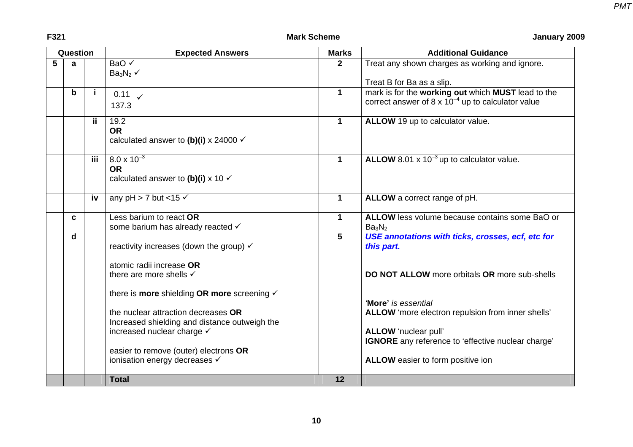| Question |             |                           | <b>Expected Answers</b>                                                                            | <b>Marks</b> | <b>Additional Guidance</b>                                                                                   |  |  |  |
|----------|-------------|---------------------------|----------------------------------------------------------------------------------------------------|--------------|--------------------------------------------------------------------------------------------------------------|--|--|--|
| 5        | a           |                           | BaO √<br>$Ba_3N_2 \checkmark$                                                                      | $\mathbf 2$  | Treat any shown charges as working and ignore.                                                               |  |  |  |
|          |             |                           |                                                                                                    |              | Treat B for Ba as a slip.                                                                                    |  |  |  |
|          | b           |                           | $0.11 \quad \checkmark$<br>137.3                                                                   | $\mathbf{1}$ | mark is for the working out which MUST lead to the<br>correct answer of 8 x $10^{-4}$ up to calculator value |  |  |  |
|          |             | ii.                       | 19.2<br><b>OR</b><br>calculated answer to (b)(i) x 24000 $\checkmark$                              | $\mathbf 1$  | ALLOW 19 up to calculator value.                                                                             |  |  |  |
|          |             | $\overline{\mathbf{iii}}$ | $8.0 \times 10^{-3}$<br><b>OR</b><br>calculated answer to (b)(i) x 10 $\checkmark$                 | $\mathbf{1}$ | ALLOW 8.01 x $10^{-3}$ up to calculator value.                                                               |  |  |  |
|          |             | iv                        | any pH > 7 but <15 $\checkmark$                                                                    | $\mathbf 1$  | ALLOW a correct range of pH.                                                                                 |  |  |  |
|          | C           |                           | Less barium to react OR<br>some barium has already reacted √                                       | $\mathbf 1$  | ALLOW less volume because contains some BaO or<br>Ba <sub>3</sub> N <sub>2</sub>                             |  |  |  |
|          | $\mathbf d$ |                           | reactivity increases (down the group) $\checkmark$                                                 | 5            | USE annotations with ticks, crosses, ecf, etc for<br>this part.                                              |  |  |  |
|          |             |                           | atomic radii increase OR<br>there are more shells v<br>there is more shielding OR more screening v |              | <b>DO NOT ALLOW</b> more orbitals OR more sub-shells                                                         |  |  |  |
|          |             |                           | the nuclear attraction decreases OR<br>Increased shielding and distance outweigh the               |              | <b>More'</b> is essential<br>ALLOW 'more electron repulsion from inner shells'                               |  |  |  |
|          |             |                           | increased nuclear charge √<br>easier to remove (outer) electrons OR                                |              | ALLOW 'nuclear pull'<br>IGNORE any reference to 'effective nuclear charge'                                   |  |  |  |
|          |             |                           | ionisation energy decreases √                                                                      |              | ALLOW easier to form positive ion                                                                            |  |  |  |
|          |             |                           | <b>Total</b>                                                                                       | 12           |                                                                                                              |  |  |  |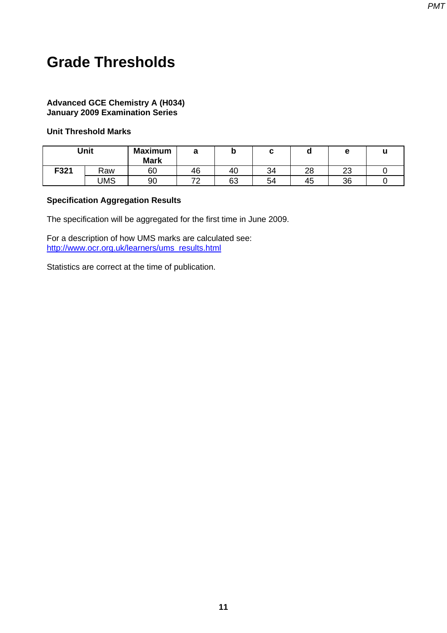## <span id="page-13-0"></span>**Grade Thresholds**

#### **Advanced GCE Chemistry A (H034) January 2009 Examination Series**

#### **Unit Threshold Marks**

|      | Unit | <b>Maximum</b><br><b>Mark</b> |    | N  |    |          |         |  |
|------|------|-------------------------------|----|----|----|----------|---------|--|
| F321 | Raw  | 60                            | 46 | 40 | 34 | າຂ<br>20 | ົ<br>∠∪ |  |
|      | JMS  | 90                            | _  | 63 | 54 | 45       | 36      |  |

#### **Specification Aggregation Results**

The specification will be aggregated for the first time in June 2009.

For a description of how UMS marks are calculated see: [http://www.ocr.org.uk/learners/ums\\_results.html](http://www.ocr.org.uk/learners/ums_results.html)

Statistics are correct at the time of publication.